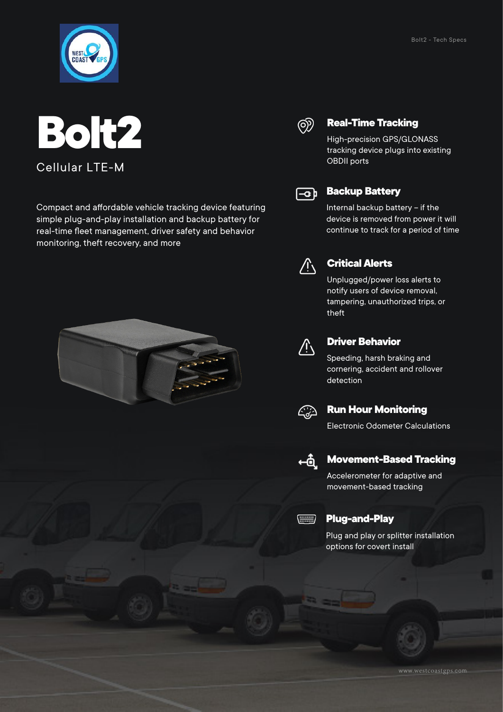



Compact and affordable vehicle tracking device featuring simple plug-and-play installation and backup battery for real-time fleet management, driver safety and behavior monitoring, theft recovery, and more





### **Real-Time Tracking**

High-precision GPS/GLONASS tracking device plugs into existing OBDII ports



### **Backup Battery**

Internal backup battery – if the device is removed from power it will continue to track for a period of time



### **Critical Alerts**

Unplugged/power loss alerts to notify users of device removal, tampering, unauthorized trips, or theft



#### **Driver Behavior**

Speeding, harsh braking and cornering, accident and rollover detection



#### **Run Hour Monitoring**

Electronic Odometer Calculations



#### **Movement-Based Tracking**

Accelerometer for adaptive and movement-based tracking



#### **Plug-and-Play**

Plug and play or splitter installation options for covert install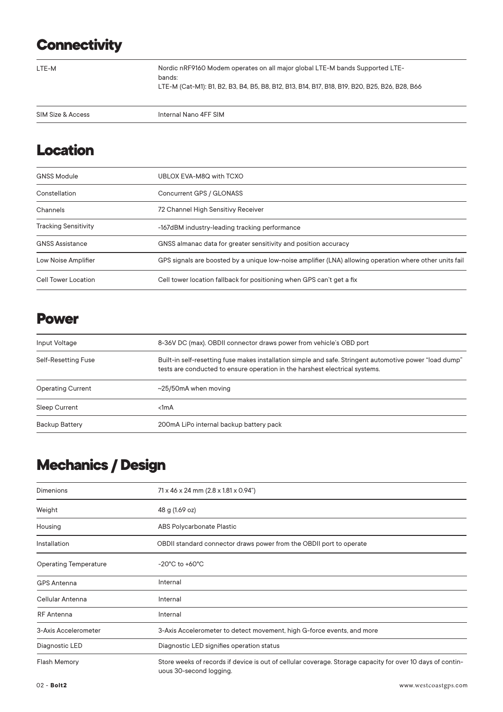# **Connectivity**

LTE-M

Nordic nRF9160 Modem operates on all major global LTE-M bands Supported LTEbands: LTE-M (Cat-M1): B1, B2, B3, B4, B5, B8, B12, B13, B14, B17, B18, B19, B20, B25, B26, B28, B66

| SIM <sub>S</sub><br>ccess<br><b>SIZE</b><br>.<br>$\sim$ | <b>IFF SIM</b><br>4F<br>$\overline{\phantom{a}}$ |
|---------------------------------------------------------|--------------------------------------------------|
|                                                         |                                                  |

# **Location**

| <b>GNSS Module</b>          | UBLOX EVA-M8Q with TCXO                                                                                 |
|-----------------------------|---------------------------------------------------------------------------------------------------------|
| Constellation               | Concurrent GPS / GLONASS                                                                                |
| Channels                    | 72 Channel High Sensitivy Receiver                                                                      |
| <b>Tracking Sensitivity</b> | -167dBM industry-leading tracking performance                                                           |
| <b>GNSS Assistance</b>      | GNSS almanac data for greater sensitivity and position accuracy                                         |
| Low Noise Amplifier         | GPS signals are boosted by a unique low-noise amplifier (LNA) allowing operation where other units fail |
| Cell Tower Location         | Cell tower location fallback for positioning when GPS can't get a fix                                   |

### **Power**

| Input Voltage            | 8-36V DC (max). OBDII connector draws power from vehicle's OBD port                                                                                                                    |
|--------------------------|----------------------------------------------------------------------------------------------------------------------------------------------------------------------------------------|
| Self-Resetting Fuse      | Built-in self-resetting fuse makes installation simple and safe. Stringent automotive power "load dump"<br>tests are conducted to ensure operation in the harshest electrical systems. |
| <b>Operating Current</b> | $\sim$ 25/50mA when moving                                                                                                                                                             |
| <b>Sleep Current</b>     | $1mA$                                                                                                                                                                                  |
| <b>Backup Battery</b>    | 200mA LiPo internal backup battery pack                                                                                                                                                |

# **Mechanics / Design**

| <b>Dimenions</b>             | 71 x 46 x 24 mm (2.8 x 1.81 x 0.94")                                                                                                  |
|------------------------------|---------------------------------------------------------------------------------------------------------------------------------------|
| Weight                       | 48 g (1.69 oz)                                                                                                                        |
| Housing                      | ABS Polycarbonate Plastic                                                                                                             |
| Installation                 | OBDII standard connector draws power from the OBDII port to operate                                                                   |
| <b>Operating Temperature</b> | $-20^{\circ}$ C to $+60^{\circ}$ C                                                                                                    |
| <b>GPS Antenna</b>           | Internal                                                                                                                              |
| Cellular Antenna             | Internal                                                                                                                              |
| <b>RF</b> Antenna            | Internal                                                                                                                              |
| 3-Axis Accelerometer         | 3-Axis Accelerometer to detect movement, high G-force events, and more                                                                |
| Diagnostic LED               | Diagnostic LED signifies operation status                                                                                             |
| <b>Flash Memory</b>          | Store weeks of records if device is out of cellular coverage. Storage capacity for over 10 days of contin-<br>uous 30-second logging. |